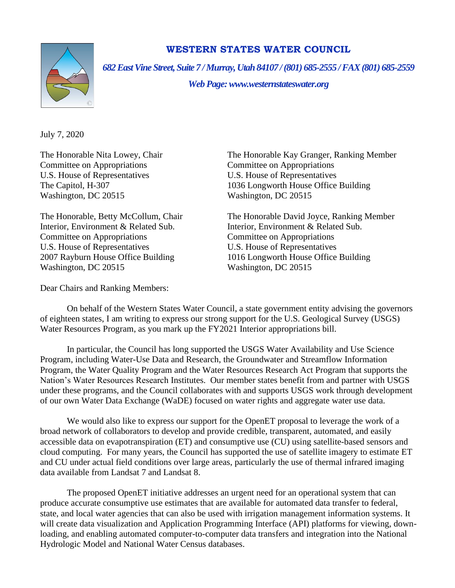

## **WESTERN STATES WATER COUNCIL**

*682 East Vine Street, Suite 7 / Murray, Utah 84107 / (801) 685-2555 / FAX (801) 685-2559*

*Web Page: www.westernstateswater.org*

July 7, 2020

Committee on Appropriations Committee on Appropriations U.S. House of Representatives U.S. House of Representatives Washington, DC 20515 Washington, DC 20515

Interior, Environment & Related Sub. Interior, Environment & Related Sub. Committee on Appropriations Committee on Appropriations U.S. House of Representatives U.S. House of Representatives Washington, DC 20515 Washington, DC 20515

The Honorable Nita Lowey, Chair The Honorable Kay Granger, Ranking Member The Capitol, H-307 1036 Longworth House Office Building

The Honorable, Betty McCollum, Chair The Honorable David Joyce, Ranking Member 2007 Rayburn House Office Building 1016 Longworth House Office Building

Dear Chairs and Ranking Members:

On behalf of the Western States Water Council, a state government entity advising the governors of eighteen states, I am writing to express our strong support for the U.S. Geological Survey (USGS) Water Resources Program, as you mark up the FY2021 Interior appropriations bill.

In particular, the Council has long supported the USGS Water Availability and Use Science Program, including Water-Use Data and Research, the Groundwater and Streamflow Information Program, the Water Quality Program and the Water Resources Research Act Program that supports the Nation's Water Resources Research Institutes. Our member states benefit from and partner with USGS under these programs, and the Council collaborates with and supports USGS work through development of our own Water Data Exchange (WaDE) focused on water rights and aggregate water use data.

We would also like to express our support for the OpenET proposal to leverage the work of a broad network of collaborators to develop and provide credible, transparent, automated, and easily accessible data on evapotranspiration (ET) and consumptive use (CU) using satellite-based sensors and cloud computing. For many years, the Council has supported the use of satellite imagery to estimate ET and CU under actual field conditions over large areas, particularly the use of thermal infrared imaging data available from Landsat 7 and Landsat 8.

The proposed OpenET initiative addresses an urgent need for an operational system that can produce accurate consumptive use estimates that are available for automated data transfer to federal, state, and local water agencies that can also be used with irrigation management information systems. It will create data visualization and Application Programming Interface (API) platforms for viewing, downloading, and enabling automated computer-to-computer data transfers and integration into the National Hydrologic Model and National Water Census databases.